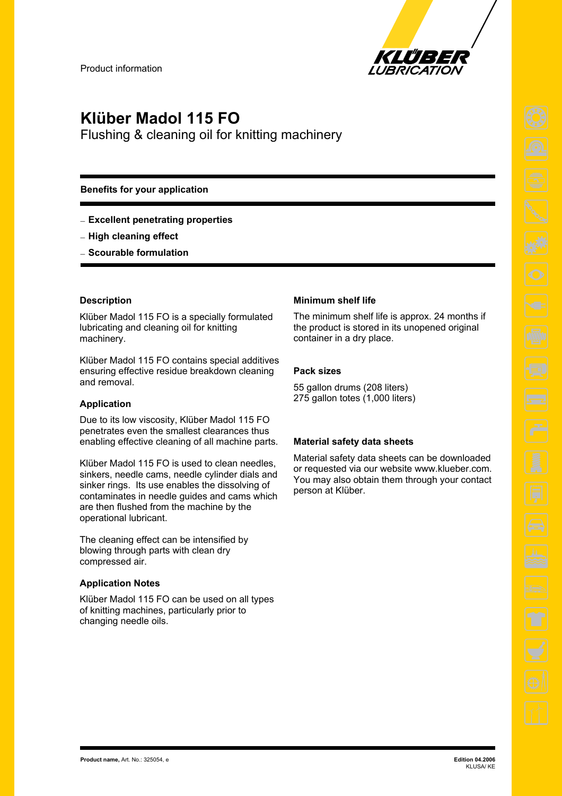

# **Klüber Madol 115 FO**

Flushing & cleaning oil for knitting machinery

## **Benefits for your application**

- **Excellent penetrating properties**
- **High cleaning effect**
- **Scourable formulation**

### **Description**

Klüber Madol 115 FO is a specially formulated lubricating and cleaning oil for knitting machinery.

Klüber Madol 115 FO contains special additives ensuring effective residue breakdown cleaning and removal.

## **Application**

Due to its low viscosity, Klüber Madol 115 FO penetrates even the smallest clearances thus enabling effective cleaning of all machine parts.

Klüber Madol 115 FO is used to clean needles, sinkers, needle cams, needle cylinder dials and sinker rings. Its use enables the dissolving of contaminates in needle guides and cams which are then flushed from the machine by the operational lubricant.

The cleaning effect can be intensified by blowing through parts with clean dry compressed air.

#### **Application Notes**

Klüber Madol 115 FO can be used on all types of knitting machines, particularly prior to changing needle oils.

### **Minimum shelf life**

The minimum shelf life is approx. 24 months if the product is stored in its unopened original container in a dry place.

### **Pack sizes**

55 gallon drums (208 liters) 275 gallon totes (1,000 liters)

#### **Material safety data sheets**

Material safety data sheets can be downloaded or requested via our website www.klueber.com. You may also obtain them through your contact person at Klüber.